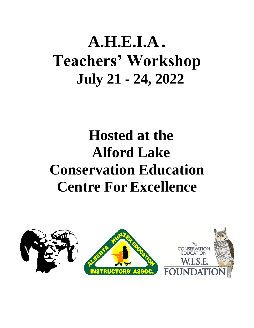# **A.H.E.I.A . Teachers' Workshop July 21 - 24, 2022**

## **Hosted at the Alford Lake Conservation Education Centre For Excellence**

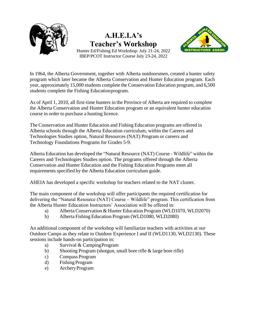

### **A.H.E.I.A's Teacher's Workshop**



Hunter Ed/Fishing Ed Workshop: July 21-24, 2022 IBEP/PCOT Instructor Course July 23-24, 2022

In 1964, the Alberta Government, together with Alberta outdoorsmen, created a hunter safety program which later became the Alberta Conservation and Hunter Education program. Each year, approximately 15,000 students complete the Conservation Education program, and 6,500 students complete the Fishing Educationprogram.

As of April 1, 2010, all first-time hunters in the Province of Alberta are required to complete the Alberta Conservation and Hunter Education program or an equivalent hunter education course in order to purchase a hunting licence.

The Conservation and Hunter Education and Fishing Education programs are offered in Alberta schools through the Alberta Education curriculum, within the Careers and Technologies Studies option, Natural Resources (NAT) Program or careers and Technology Foundations Programs for Grades 5-9.

Alberta Education has developed the "Natural Resource (NAT) Course - Wildlife" within the Careers and Technologies Studies option. The programs offered through the Alberta Conservation and Hunter Education and the Fishing Education Programs meet all requirements specified by the Alberta Education curriculum guide.

AHEIA has developed a specific workshop for teachers related to the NAT cluster.

The main component of the workshop will offer participants the required certification for delivering the "Natural Resource (NAT) Course – Wildlife" program. This certification from the Alberta Hunter Education Instructors' Association will be offered in:

- a) Alberta Conservation & Hunter Education Program (WLD1070, WLD2070)
- b) Alberta Fishing Education Program (WLD1080, WLD2080)

An additional component of the workshop will familiarize teachers with activities at our Outdoor Camps as they relate to Outdoor Experience I and II (WLD1130, WLD2130). These sessions include hands-on participation in:

- a) Survival & CampingProgram
- b) Shooting Program (shotgun, small bore rifle & large bore rifle)
- c) Compass Program
- d) Fishing Program
- e) ArcheryProgram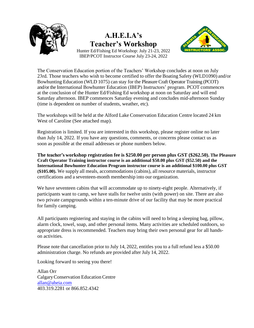

### **A.H.E.I.A's Teacher's Workshop**



Hunter Ed/Fishing Ed Workshop: July 21-23, 2022 IBEP/PCOT Instructor Course July 23-24, 2022

The Conservation Education portion of the Teachers' Workshop concludes at noon on July 23rd. Those teachers who wish to become certified to offer the Boating Safety (WLD1090) and/or Bowhunting Education (WLD 1075) can stay for the Pleasure Craft Operator Training (PCOT) and/or the International Bowhunter Education (IBEP) Instructors' program. PCOT commences at the conclusion of the Hunter Ed/Fishing Ed workshop at noon on Saturday and will end Saturday afternoon. IBEP commences Saturday evening and concludes mid-afternoon Sunday (time is dependent on number of students, weather, etc).

The workshops will be held at the Alford Lake Conservation Education Centre located 24 km West of Caroline (See attached map).

Registration is limited. If you are interested in this workshop, please register online no later than July 14, 2022. If you have any questions, comments, or concerns please contact us as soon as possible at the email addresses or phone numbers below.

**The teacher's workshop registration fee is \$250.00 per person plus GST (\$262.50). The Pleasure Craft Operator Training instructor course is an additional \$50.00 plus GST (\$52.50) and the International Bowhunter Education Program instructor course is an additional \$100.00 plus GST (\$105.00).** We supply all meals, accommodations (cabins), all resource materials, instructor certifications and a seventeen-month membership into our organization.

We have seventeen cabins that will accommodate up to ninety-eight people. Alternatively, if participants want to camp, we have stalls for twelve units (with power) on site. There are also two private campgrounds within a ten-minute drive of our facility that may be more practical for family camping.

All participants registering and staying in the cabins will need to bring a sleeping bag, pillow, alarm clock, towel, soap, and other personal items. Many activities are scheduled outdoors, so appropriate dress is recommended. Teachers may bring their own personal gear for all handson activities.

Please note that cancellation prior to July 14, 2022, entitles you to a full refund less a \$50.00 administration charge. No refunds are provided after July 14, 2022.

Looking forward to seeing you there!

Allan Orr Calgary Conservation Education Centre [allan@aheia.com](mailto:allan@aheia.com) 403.319.2281 or 866.852.4342